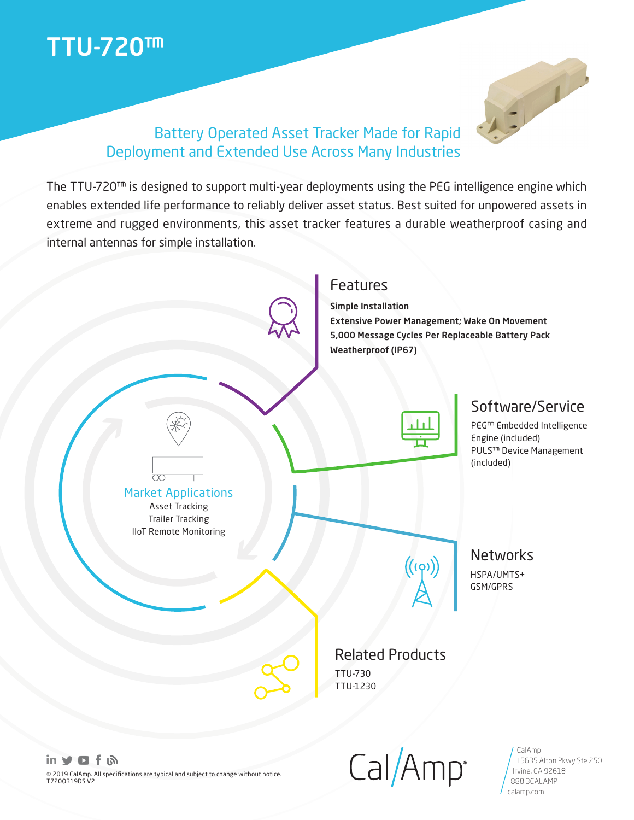# TTU-720™



### Battery Operated Asset Tracker Made for Rapid Deployment and Extended Use Across Many Industries

The TTU-720™ is designed to support multi-year deployments using the PEG intelligence engine which enables extended life performance to reliably deliver asset status. Best suited for unpowered assets in extreme and rugged environments, this asset tracker features a durable weatherproof casing and internal antennas for simple installation.



 $Cal/Amp$ 

15635 Alton Pkwy Ste 250

Irvine, CA 92618 888.3CALAMP calamp.com